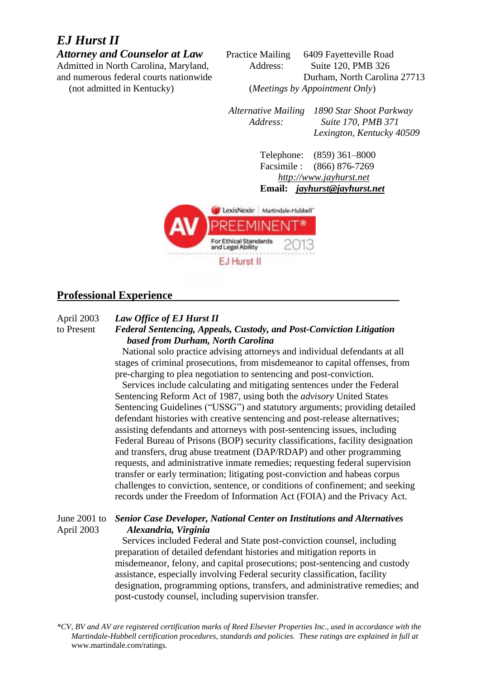# *EJ Hurst II*

Attorney and Counselor at Law Practice Mailing 6409 Fayetteville Road Admitted in North Carolina, Maryland, Address: Suite 120, PMB 326 and numerous federal courts nationwide Durham, North Carolina 27713 (not admitted in Kentucky) (*Meetings by Appointment Only*)

> *Alternative Mailing 1890 Star Shoot Parkway Address: Suite 170, PMB 371 Lexington, Kentucky 40509*

> > Telephone: (859) 361–8000 Facsimile : (866) 876-7269 *http://www.jayhurst.net*  **Email:** *jayhurst@jayhurst.net*



#### **Professional Experience**

April 2003 *Law Office of EJ Hurst II*

## to Present *Federal Sentencing, Appeals, Custody, and Post-Conviction Litigation based from Durham, North Carolina*

 National solo practice advising attorneys and individual defendants at all stages of criminal prosecutions, from misdemeanor to capital offenses, from pre-charging to plea negotiation to sentencing and post-conviction.

 Services include calculating and mitigating sentences under the Federal Sentencing Reform Act of 1987, using both the *advisory* United States Sentencing Guidelines ("USSG") and statutory arguments; providing detailed defendant histories with creative sentencing and post-release alternatives; assisting defendants and attorneys with post-sentencing issues, including Federal Bureau of Prisons (BOP) security classifications, facility designation and transfers, drug abuse treatment (DAP/RDAP) and other programming requests, and administrative inmate remedies; requesting federal supervision transfer or early termination; litigating post-conviction and habeas corpus challenges to conviction, sentence, or conditions of confinement; and seeking records under the Freedom of Information Act (FOIA) and the Privacy Act.

#### June 2001 to *Senior Case Developer, National Center on Institutions and Alternatives* April 2003 *Alexandria, Virginia*

Services included Federal and State post-conviction counsel, including preparation of detailed defendant histories and mitigation reports in misdemeanor, felony, and capital prosecutions; post-sentencing and custody assistance, especially involving Federal security classification, facility designation, programming options, transfers, and administrative remedies; and post-custody counsel, including supervision transfer.

*\*CV, BV and AV are registered certification marks of Reed Elsevier Properties Inc., used in accordance with the Martindale-Hubbell certification procedures, standards and policies. These ratings are explained in full at*  www.martindale.com/ratings*.*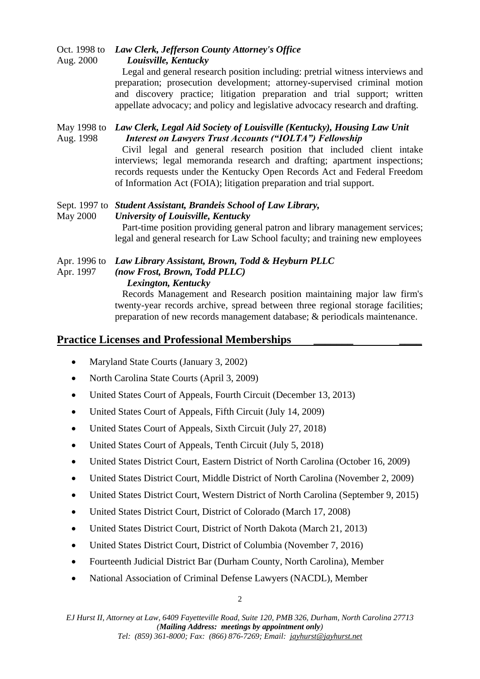Oct. 1998 to *Law Clerk, Jefferson County Attorney's Office* Aug. 2000 *Louisville, Kentucky* Legal and general research position including: pretrial witness interviews and

preparation; prosecution development; attorney-supervised criminal motion and discovery practice; litigation preparation and trial support; written appellate advocacy; and policy and legislative advocacy research and drafting.

### May 1998 to *Law Clerk, Legal Aid Society of Louisville (Kentucky), Housing Law Unit* Aug. 1998 *Interest on Lawyers Trust Accounts ("IOLTA") Fellowship*

 Civil legal and general research position that included client intake interviews; legal memoranda research and drafting; apartment inspections; records requests under the Kentucky Open Records Act and Federal Freedom of Information Act (FOIA); litigation preparation and trial support.

## Sept. 1997 to *Student Assistant, Brandeis School of Law Library,*  May 2000 *University of Louisville, Kentucky*

 Part-time position providing general patron and library management services; legal and general research for Law School faculty; and training new employees

## Apr. 1996 to *Law Library Assistant, Brown, Todd & Heyburn PLLC*

Apr. 1997 *(now Frost, Brown, Todd PLLC)*

## *Lexington, Kentucky*

 Records Management and Research position maintaining major law firm's twenty-year records archive, spread between three regional storage facilities; preparation of new records management database; & periodicals maintenance.

## **Practice Licenses and Professional Memberships \_\_\_\_\_\_\_ \_\_\_\_**

- Maryland State Courts (January 3, 2002)
- North Carolina State Courts (April 3, 2009)
- United States Court of Appeals, Fourth Circuit (December 13, 2013)
- United States Court of Appeals, Fifth Circuit (July 14, 2009)
- United States Court of Appeals, Sixth Circuit (July 27, 2018)
- United States Court of Appeals, Tenth Circuit (July 5, 2018)
- United States District Court, Eastern District of North Carolina (October 16, 2009)
- United States District Court, Middle District of North Carolina (November 2, 2009)
- United States District Court, Western District of North Carolina (September 9, 2015)
- United States District Court, District of Colorado (March 17, 2008)
- United States District Court, District of North Dakota (March 21, 2013)
- United States District Court, District of Columbia (November 7, 2016)
- Fourteenth Judicial District Bar (Durham County, North Carolina), Member
- National Association of Criminal Defense Lawyers (NACDL), Member

*EJ Hurst II, Attorney at Law, 6409 Fayetteville Road, Suite 120, PMB 326, Durham, North Carolina 27713 (Mailing Address: meetings by appointment only) Tel: (859) 361-8000; Fax: (866) 876-7269; Email: jayhurst@jayhurst.net*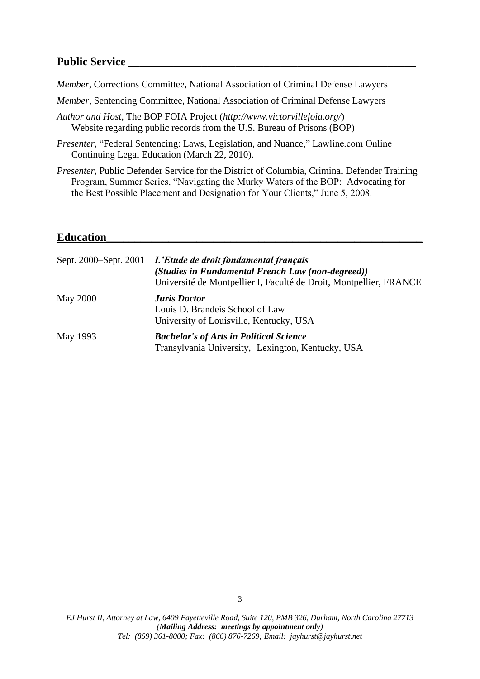#### **Public Service \_\_\_\_\_\_\_\_\_\_\_\_\_\_\_\_\_\_\_\_\_\_\_\_\_\_\_\_\_\_\_\_\_\_\_\_\_\_\_\_\_\_\_\_\_\_\_\_\_\_\_**

*Member*, Corrections Committee, National Association of Criminal Defense Lawyers

- *Member*, Sentencing Committee, National Association of Criminal Defense Lawyers
- *Author and Host*, The BOP FOIA Project (*http://www.victorvillefoia.org/*) Website regarding public records from the U.S. Bureau of Prisons (BOP)
- *Presenter*, "Federal Sentencing: Laws, Legislation, and Nuance," Lawline.com Online Continuing Legal Education (March 22, 2010).
- *Presenter*, Public Defender Service for the District of Columbia, Criminal Defender Training Program, Summer Series, "Navigating the Murky Waters of the BOP: Advocating for the Best Possible Placement and Designation for Your Clients," June 5, 2008.

#### **Education\_\_\_\_\_\_\_\_\_\_\_\_\_\_\_\_\_\_\_\_\_\_\_\_\_\_\_\_\_\_\_\_\_\_\_\_\_\_\_\_\_\_\_\_\_\_\_\_\_\_\_\_\_\_\_\_**

| Sept. 2000–Sept. 2001 | L'Etude de droit fondamental français<br>(Studies in Fundamental French Law (non-degreed))<br>Université de Montpellier I, Faculté de Droit, Montpellier, FRANCE |
|-----------------------|------------------------------------------------------------------------------------------------------------------------------------------------------------------|
| <b>May 2000</b>       | <b>Juris</b> Doctor<br>Louis D. Brandeis School of Law<br>University of Louisville, Kentucky, USA                                                                |
| May 1993              | <b>Bachelor's of Arts in Political Science</b><br>Transylvania University, Lexington, Kentucky, USA                                                              |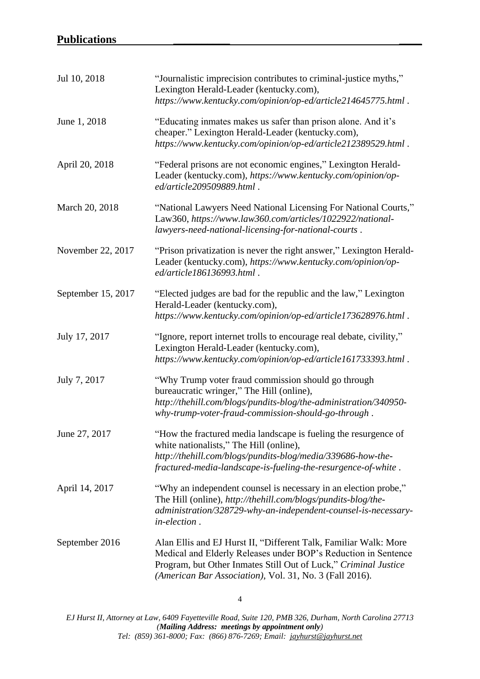| Jul 10, 2018       | "Journalistic imprecision contributes to criminal-justice myths,"<br>Lexington Herald-Leader (kentucky.com),<br>https://www.kentucky.com/opinion/op-ed/article214645775.html.                                                                                    |
|--------------------|------------------------------------------------------------------------------------------------------------------------------------------------------------------------------------------------------------------------------------------------------------------|
| June 1, 2018       | "Educating inmates makes us safer than prison alone. And it's<br>cheaper." Lexington Herald-Leader (kentucky.com),<br>https://www.kentucky.com/opinion/op-ed/article212389529.html.                                                                              |
| April 20, 2018     | "Federal prisons are not economic engines," Lexington Herald-<br>Leader (kentucky.com), https://www.kentucky.com/opinion/op-<br>ed/article209509889.html.                                                                                                        |
| March 20, 2018     | "National Lawyers Need National Licensing For National Courts,"<br>Law360, https://www.law360.com/articles/1022922/national-<br>lawyers-need-national-licensing-for-national-courts.                                                                             |
| November 22, 2017  | "Prison privatization is never the right answer," Lexington Herald-<br>Leader (kentucky.com), https://www.kentucky.com/opinion/op-<br>ed/article186136993.html                                                                                                   |
| September 15, 2017 | "Elected judges are bad for the republic and the law," Lexington<br>Herald-Leader (kentucky.com),<br>https://www.kentucky.com/opinion/op-ed/article173628976.html.                                                                                               |
| July 17, 2017      | "Ignore, report internet trolls to encourage real debate, civility,"<br>Lexington Herald-Leader (kentucky.com),<br>https://www.kentucky.com/opinion/op-ed/article161733393.html.                                                                                 |
| July 7, 2017       | "Why Trump voter fraud commission should go through<br>bureaucratic wringer," The Hill (online),<br>http://thehill.com/blogs/pundits-blog/the-administration/340950-<br>why-trump-voter-fraud-commission-should-go-through.                                      |
| June 27, 2017      | "How the fractured media landscape is fueling the resurgence of<br>white nationalists," The Hill (online),<br>http://thehill.com/blogs/pundits-blog/media/339686-how-the-<br>fractured-media-landscape-is-fueling-the-resurgence-of-white.                       |
| April 14, 2017     | "Why an independent counsel is necessary in an election probe,"<br>The Hill (online), http://thehill.com/blogs/pundits-blog/the-<br>administration/328729-why-an-independent-counsel-is-necessary-<br>in-election.                                               |
| September 2016     | Alan Ellis and EJ Hurst II, "Different Talk, Familiar Walk: More<br>Medical and Elderly Releases under BOP's Reduction in Sentence<br>Program, but Other Inmates Still Out of Luck," Criminal Justice<br>(American Bar Association), Vol. 31, No. 3 (Fall 2016). |

*EJ Hurst II, Attorney at Law, 6409 Fayetteville Road, Suite 120, PMB 326, Durham, North Carolina 27713 (Mailing Address: meetings by appointment only) Tel: (859) 361-8000; Fax: (866) 876-7269; Email: jayhurst@jayhurst.net*